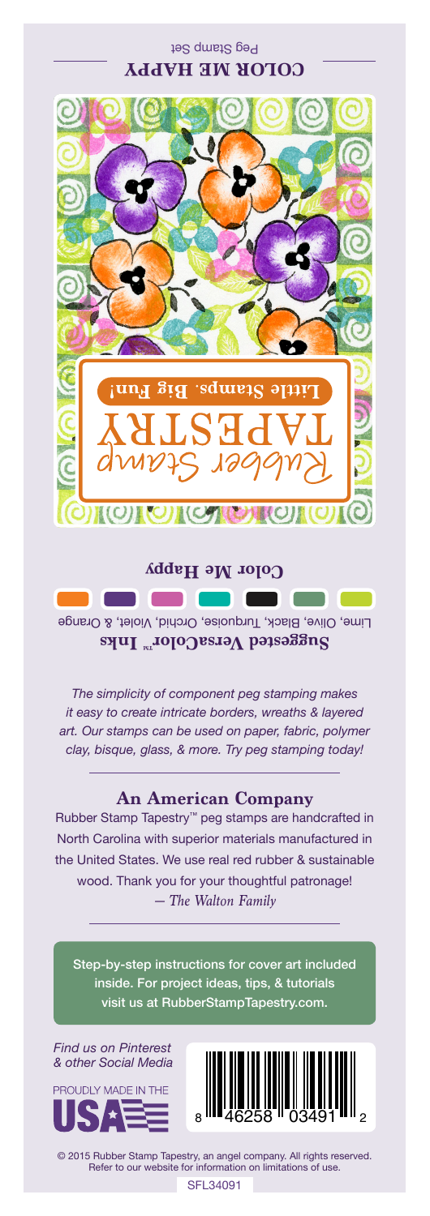## Peg Stamp Set **COLOR ME HAPPY**



Lime, Olive, Black, Turquoise, Orchid, Violet, & Orange Suggested VersaColor<sup>m</sup> Inks **Color Me Happy**

*The simplicity of component peg stamping makes it easy to create intricate borders, wreaths & layered art. Our stamps can be used on paper, fabric, polymer clay, bisque, glass, & more. Try peg stamping today!*

## **An American Company**

*— The Walton Family* Rubber Stamp Tapestry™ peg stamps are handcrafted in North Carolina with superior materials manufactured in the United States. We use real red rubber & sustainable wood. Thank you for your thoughtful patronage!

Step-by-step instructions for cover art included inside. For project ideas, tips, & tutorials visit us at RubberStampTapestry.com.

*Find us on Pinterest & other Social Media*





© 2015 Rubber Stamp Tapestry, an angel company. All rights reserved. Refer to our website for information on limitations of use.